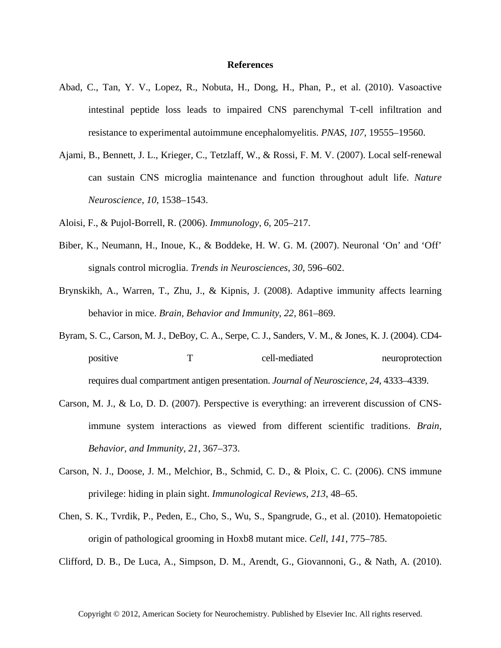## **References**

- Abad, C., Tan, Y. V., Lopez, R., Nobuta, H., Dong, H., Phan, P., et al. (2010). Vasoactive intestinal peptide loss leads to impaired CNS parenchymal T-cell infiltration and resistance to experimental autoimmune encephalomyelitis. *PNAS*, *107*, 19555–19560.
- Ajami, B., Bennett, J. L., Krieger, C., Tetzlaff, W., & Rossi, F. M. V. (2007). Local self-renewal can sustain CNS microglia maintenance and function throughout adult life. *Nature Neuroscience*, *10*, 1538–1543.

Aloisi, F., & Pujol-Borrell, R. (2006). *Immunology*, *6*, 205–217.

- Biber, K., Neumann, H., Inoue, K., & Boddeke, H. W. G. M. (2007). Neuronal 'On' and 'Off' signals control microglia. *Trends in Neurosciences*, *30*, 596–602.
- Brynskikh, A., Warren, T., Zhu, J., & Kipnis, J. (2008). Adaptive immunity affects learning behavior in mice. *Brain, Behavior and Immunity*, *22*, 861–869.
- Byram, S. C., Carson, M. J., DeBoy, C. A., Serpe, C. J., Sanders, V. M., & Jones, K. J. (2004). CD4 positive T cell-mediated neuroprotection requires dual compartment antigen presentation. *Journal of Neuroscience*, *24*, 4333–4339.
- Carson, M. J., & Lo, D. D. (2007). Perspective is everything: an irreverent discussion of CNSimmune system interactions as viewed from different scientific traditions. *Brain, Behavior, and Immunity*, *21*, 367–373.
- Carson, N. J., Doose, J. M., Melchior, B., Schmid, C. D., & Ploix, C. C. (2006). CNS immune privilege: hiding in plain sight. *Immunological Reviews*, *213*, 48–65.
- Chen, S. K., Tvrdik, P., Peden, E., Cho, S., Wu, S., Spangrude, G., et al. (2010). Hematopoietic origin of pathological grooming in Hoxb8 mutant mice. *Cell*, *141*, 775–785.

Clifford, D. B., De Luca, A., Simpson, D. M., Arendt, G., Giovannoni, G., & Nath, A. (2010).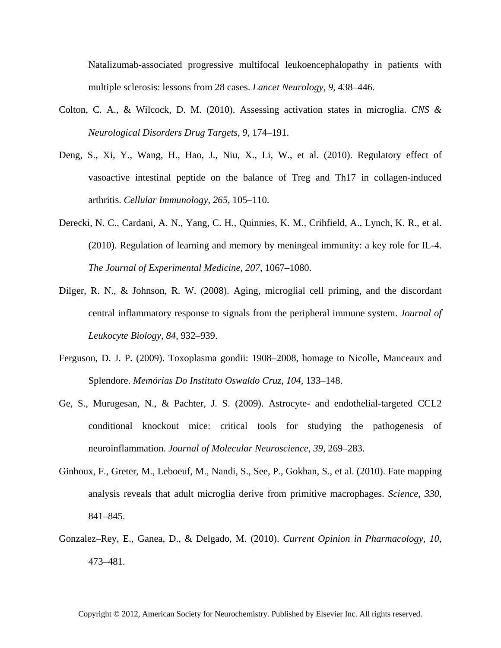Natalizumab-associated progressive multifocal leukoencephalopathy in patients with multiple sclerosis: lessons from 28 cases. *Lancet Neurology*, *9*, 438–446.

- Colton, C. A., & Wilcock, D. M. (2010). Assessing activation states in microglia. *CNS & Neurological Disorders Drug Targets*, *9*, 174–191.
- Deng, S., Xi, Y., Wang, H., Hao, J., Niu, X., Li, W., et al. (2010). Regulatory effect of vasoactive intestinal peptide on the balance of Treg and Th17 in collagen-induced arthritis. *Cellular Immunology*, *265*, 105–110.
- Derecki, N. C., Cardani, A. N., Yang, C. H., Quinnies, K. M., Crihfield, A., Lynch, K. R., et al. (2010). Regulation of learning and memory by meningeal immunity: a key role for IL-4. *The Journal of Experimental Medicine*, *207*, 1067–1080.
- Dilger, R. N., & Johnson, R. W. (2008). Aging, microglial cell priming, and the discordant central inflammatory response to signals from the peripheral immune system. *Journal of Leukocyte Biology*, *84*, 932–939.
- Ferguson, D. J. P. (2009). Toxoplasma gondii: 1908–2008, homage to Nicolle, Manceaux and Splendore. *Memórias Do Instituto Oswaldo Cruz*, *104*, 133–148.
- Ge, S., Murugesan, N., & Pachter, J. S. (2009). Astrocyte- and endothelial-targeted CCL2 conditional knockout mice: critical tools for studying the pathogenesis of neuroinflammation. *Journal of Molecular Neuroscience*, *39*, 269–283.
- Ginhoux, F., Greter, M., Leboeuf, M., Nandi, S., See, P., Gokhan, S., et al. (2010). Fate mapping analysis reveals that adult microglia derive from primitive macrophages. *Science*, *330*, 841–845.
- Gonzalez–Rey, E., Ganea, D., & Delgado, M. (2010). *Current Opinion in Pharmacology*, *10*, 473–481.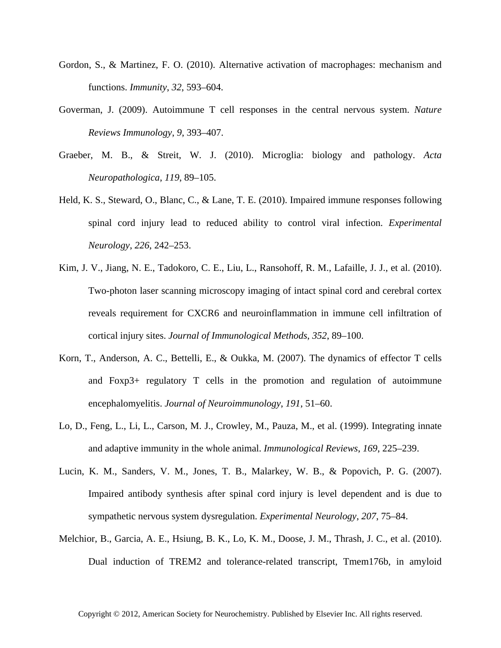- Gordon, S., & Martinez, F. O. (2010). Alternative activation of macrophages: mechanism and functions. *Immunity*, *32*, 593–604.
- Goverman, J. (2009). Autoimmune T cell responses in the central nervous system. *Nature Reviews Immunology*, *9*, 393–407.
- Graeber, M. B., & Streit, W. J. (2010). Microglia: biology and pathology. *Acta Neuropathologica*, *119*, 89–105.
- Held, K. S., Steward, O., Blanc, C., & Lane, T. E. (2010). Impaired immune responses following spinal cord injury lead to reduced ability to control viral infection. *Experimental Neurology*, *226*, 242–253.
- Kim, J. V., Jiang, N. E., Tadokoro, C. E., Liu, L., Ransohoff, R. M., Lafaille, J. J., et al. (2010). Two-photon laser scanning microscopy imaging of intact spinal cord and cerebral cortex reveals requirement for CXCR6 and neuroinflammation in immune cell infiltration of cortical injury sites. *Journal of Immunological Methods*, *352*, 89–100.
- Korn, T., Anderson, A. C., Bettelli, E., & Oukka, M. (2007). The dynamics of effector T cells and Foxp3+ regulatory T cells in the promotion and regulation of autoimmune encephalomyelitis. *Journal of Neuroimmunology*, *191*, 51–60.
- Lo, D., Feng, L., Li, L., Carson, M. J., Crowley, M., Pauza, M., et al. (1999). Integrating innate and adaptive immunity in the whole animal. *Immunological Reviews*, *169*, 225–239.
- Lucin, K. M., Sanders, V. M., Jones, T. B., Malarkey, W. B., & Popovich, P. G. (2007). Impaired antibody synthesis after spinal cord injury is level dependent and is due to sympathetic nervous system dysregulation. *Experimental Neurology*, *207*, 75–84.
- Melchior, B., Garcia, A. E., Hsiung, B. K., Lo, K. M., Doose, J. M., Thrash, J. C., et al. (2010). Dual induction of TREM2 and tolerance-related transcript, Tmem176b, in amyloid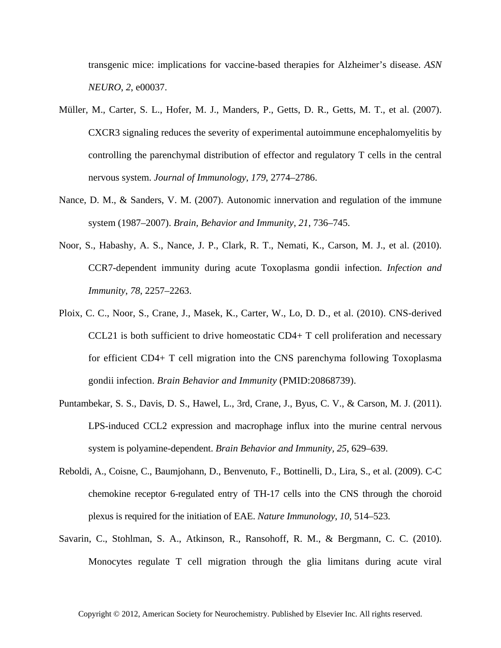transgenic mice: implications for vaccine-based therapies for Alzheimer's disease. *ASN NEURO*, *2*, e00037.

- Müller, M., Carter, S. L., Hofer, M. J., Manders, P., Getts, D. R., Getts, M. T., et al. (2007). CXCR3 signaling reduces the severity of experimental autoimmune encephalomyelitis by controlling the parenchymal distribution of effector and regulatory T cells in the central nervous system. *Journal of Immunology*, *179*, 2774–2786.
- Nance, D. M., & Sanders, V. M. (2007). Autonomic innervation and regulation of the immune system (1987–2007). *Brain, Behavior and Immunity*, *21*, 736–745.
- Noor, S., Habashy, A. S., Nance, J. P., Clark, R. T., Nemati, K., Carson, M. J., et al. (2010). CCR7-dependent immunity during acute Toxoplasma gondii infection. *Infection and Immunity*, *78*, 2257–2263.
- Ploix, C. C., Noor, S., Crane, J., Masek, K., Carter, W., Lo, D. D., et al. (2010). CNS-derived CCL21 is both sufficient to drive homeostatic CD4+ T cell proliferation and necessary for efficient CD4+ T cell migration into the CNS parenchyma following Toxoplasma gondii infection. *Brain Behavior and Immunity* (PMID:20868739).
- Puntambekar, S. S., Davis, D. S., Hawel, L., 3rd, Crane, J., Byus, C. V., & Carson, M. J. (2011). LPS-induced CCL2 expression and macrophage influx into the murine central nervous system is polyamine-dependent. *Brain Behavior and Immunity, 25*, 629–639.
- Reboldi, A., Coisne, C., Baumjohann, D., Benvenuto, F., Bottinelli, D., Lira, S., et al. (2009). C-C chemokine receptor 6-regulated entry of TH-17 cells into the CNS through the choroid plexus is required for the initiation of EAE. *Nature Immunology*, *10*, 514–523.
- Savarin, C., Stohlman, S. A., Atkinson, R., Ransohoff, R. M., & Bergmann, C. C. (2010). Monocytes regulate T cell migration through the glia limitans during acute viral